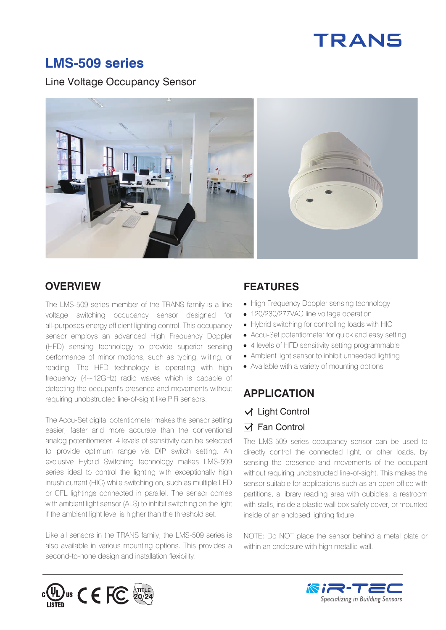# **TRANS**

### **LMS-509 series**

Line Voltage Occupancy Sensor



The LMS-509 series member of the TRANS family is a line voltage switching occupancy sensor designed for all-purposes energy efficient lighting control. This occupancy sensor employs an advanced High Frequency Doppler (HFD) sensing technology to provide superior sensing performance of minor motions, such as typing, writing, or reading. The HFD technology is operating with high frequency (4~12GHz) radio waves which is capable of detecting the occupant's presence and movements without requiring unobstructed line-of-sight like PIR sensors.

The Accu-Set digital potentiometer makes the sensor setting easier, faster and more accurate than the conventional analog potentiometer. 4 levels of sensitivity can be selected to provide optimum range via DIP switch setting. An exclusive Hybrid Switching technology makes LMS-509 series ideal to control the lighting with exceptionally high inrush current (HIC) while switching on, such as multiple LED or CFL lightings connected in parallel. The sensor comes with ambient light sensor (ALS) to inhibit switching on the light if the ambient light level is higher than the threshold set.

Like all sensors in the TRANS family, the LMS-509 series is also available in various mounting options. This provides a second-to-none design and installation flexibility.

#### **OVERVIEW FEATURES**

- High Frequency Doppler sensing technology
- 120/230/277VAC line voltage operation
- Hybrid switching for controlling loads with HIC
- Accu-Set potentiometer for quick and easy setting
- 4 levels of HFD sensitivity setting programmable
- Ambient light sensor to inhibit unneeded lighting
- Available with a variety of mounting options

#### **APPLICATION**

#### $\nabla$  Light Control  $\nabla$  Fan Control

The LMS-509 series occupancy sensor can be used to directly control the connected light, or other loads, by sensing the presence and movements of the occupant without requiring unobstructed line-of-sight. This makes the sensor suitable for applications such as an open office with partitions, a library reading area with cubicles, a restroom with stalls, inside a plastic wall box safety cover, or mounted inside of an enclosed lighting fixture.

NOTE: Do NOT place the sensor behind a metal plate or within an enclosure with high metallic wall.